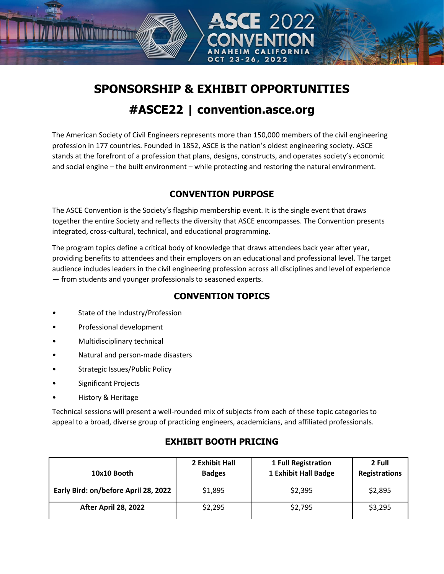# **SPONSORSHIP & EXHIBIT OPPORTUNITIES #ASCE22 | convention.asce.org**

The American Society of Civil Engineers represents more than 150,000 members of the civil engineering profession in 177 countries. Founded in 1852, ASCE is the nation's oldest engineering society. ASCE stands at the forefront of a profession that plans, designs, constructs, and operates society's economic and social engine – the built environment – while protecting and restoring the natural environment.

## **CONVENTION PURPOSE**

The ASCE Convention is the Society's flagship membership event. It is the single event that draws together the entire Society and reflects the diversity that ASCE encompasses. The Convention presents integrated, cross-cultural, technical, and educational programming.

The program topics define a critical body of knowledge that draws attendees back year after year, providing benefits to attendees and their employers on an educational and professional level. The target audience includes leaders in the civil engineering profession across all disciplines and level of experience — from students and younger professionals to seasoned experts.

## **CONVENTION TOPICS**

State of the Industry/Profession

**TALINI KKA** 

- Professional development
- Multidisciplinary technical
- Natural and person-made disasters
- Strategic Issues/Public Policy
- Significant Projects
- History & Heritage

Technical sessions will present a well-rounded mix of subjects from each of these topic categories to appeal to a broad, diverse group of practicing engineers, academicians, and affiliated professionals.

#### **10x10 Booth 2 Exhibit Hall Badges 1 Full Registration 1 Exhibit Hall Badge 2 Full Registrations Early Bird: on/before April 28, 2022**  $\vert$  \$1,895  $\vert$  \$2,395  $\vert$  \$2,895 **After April 28, 2022** \$2,295 \$2,295 \$2,795 \$3,295

### **EXHIBIT BOOTH PRICING**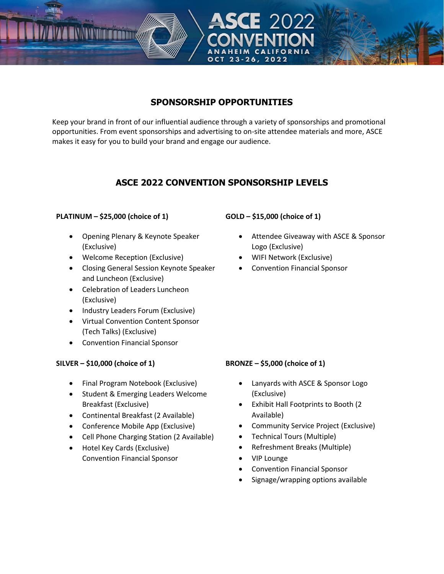## **SPONSORSHIP OPPORTUNITIES**

Keep your brand in front of our influential audience through a variety of sponsorships and promotional opportunities. From event sponsorships and advertising to on-site attendee materials and more, ASCE makes it easy for you to build your brand and engage our audience.

## **ASCE 2022 CONVENTION SPONSORSHIP LEVELS**

### **PLATINUM – \$25,000 (choice of 1)**

• Opening Plenary & Keynote Speaker (Exclusive)

**TALIKKAN** 

- Welcome Reception (Exclusive)
- Closing General Session Keynote Speaker and Luncheon (Exclusive)
- Celebration of Leaders Luncheon (Exclusive)
- Industry Leaders Forum (Exclusive)
- Virtual Convention Content Sponsor (Tech Talks) (Exclusive)
- Convention Financial Sponsor

### **SILVER – \$10,000 (choice of 1)**

- Final Program Notebook (Exclusive)
- Student & Emerging Leaders Welcome Breakfast (Exclusive)
- Continental Breakfast (2 Available)
- Conference Mobile App (Exclusive)
- Cell Phone Charging Station (2 Available)
- Hotel Key Cards (Exclusive) Convention Financial Sponsor

### **GOLD – \$15,000 (choice of 1)**

- Attendee Giveaway with ASCE & Sponsor Logo (Exclusive)
- WIFI Network (Exclusive)
- Convention Financial Sponsor

### **BRONZE – \$5,000 (choice of 1)**

- Lanyards with ASCE & Sponsor Logo (Exclusive)
- Exhibit Hall Footprints to Booth (2 Available)
- Community Service Project (Exclusive)
- Technical Tours (Multiple)
- Refreshment Breaks (Multiple)
- VIP Lounge
- Convention Financial Sponsor
- Signage/wrapping options available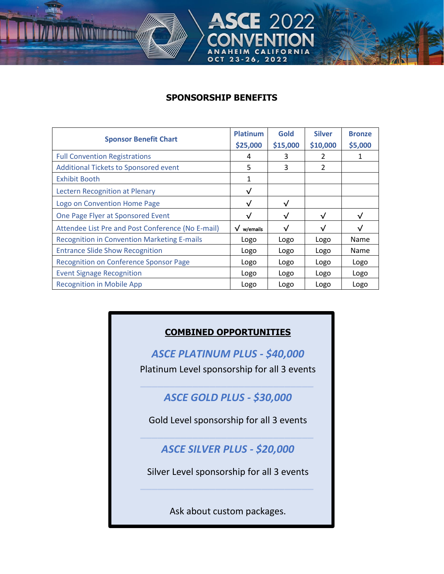## **SPONSORSHIP BENEFITS**

**THE WAY** 

2022

| <b>Sponsor Benefit Chart</b>                       | <b>Platinum</b>      | Gold      | <b>Silver</b>  | <b>Bronze</b> |
|----------------------------------------------------|----------------------|-----------|----------------|---------------|
|                                                    | \$25,000             | \$15,000  | \$10,000       | \$5,000       |
| <b>Full Convention Registrations</b>               | 4                    | 3         | 2              |               |
| <b>Additional Tickets to Sponsored event</b>       | 5                    | 3         | $\overline{2}$ |               |
| <b>Exhibit Booth</b>                               | 1                    |           |                |               |
| <b>Lectern Recognition at Plenary</b>              | $\sqrt{}$            |           |                |               |
| Logo on Convention Home Page                       | $\sqrt{ }$           | √         |                |               |
| One Page Flyer at Sponsored Event                  | $\sqrt{}$            | $\sqrt{}$ | $\checkmark$   | $\sqrt{ }$    |
| Attendee List Pre and Post Conference (No E-mail)  | $\sqrt{\ }$ w/emails | √         | $\checkmark$   | √             |
| <b>Recognition in Convention Marketing E-mails</b> | Logo                 | Logo      | Logo           | Name          |
| <b>Entrance Slide Show Recognition</b>             | Logo                 | Logo      | Logo           | Name          |
| <b>Recognition on Conference Sponsor Page</b>      | Logo                 | Logo      | Logo           | Logo          |
| <b>Event Signage Recognition</b>                   | Logo                 | Logo      | Logo           | Logo          |
| <b>Recognition in Mobile App</b>                   | Logo                 | Logo      | Logo           | Logo          |

## **COMBINED OPPORTUNITIES**

*ASCE PLATINUM PLUS - \$40,000* Platinum Level sponsorship for all 3 events

*ASCE GOLD PLUS - \$30,000*

*\_\_\_\_\_\_\_\_\_\_\_\_\_\_\_\_\_\_\_\_\_\_\_\_\_\_\_\_\_\_*

Gold Level sponsorship for all 3 events *\_\_\_\_\_\_\_\_\_\_\_\_\_\_\_\_\_\_\_\_\_\_\_\_\_\_\_\_\_\_*

*ASCE SILVER PLUS - \$20,000*

Silver Level sponsorship for all 3 events *\_\_\_\_\_\_\_\_\_\_\_\_\_\_\_\_\_\_\_\_\_\_\_\_\_\_\_\_\_\_*

Ask about custom packages.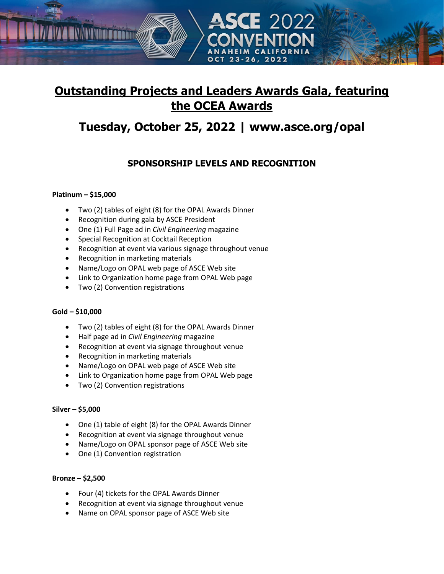## **Outstanding Projects and Leaders Awards Gala, featuring the OCEA Awards**

## **Tuesday, October 25, 2022 | [www.asce.org/opal](http://www.asce.org/opal)**

## **SPONSORSHIP LEVELS AND RECOGNITION**

### **Platinum – \$15,000**

- Two (2) tables of eight (8) for the OPAL Awards Dinner
- Recognition during gala by ASCE President

**THE WITH** 

- One (1) Full Page ad in *Civil Engineering* magazine
- Special Recognition at Cocktail Reception
- Recognition at event via various signage throughout venue
- Recognition in marketing materials
- Name/Logo on OPAL web page of ASCE Web site
- Link to Organization home page from OPAL Web page
- Two (2) Convention registrations

### **Gold – \$10,000**

- Two (2) tables of eight (8) for the OPAL Awards Dinner
- Half page ad in *Civil Engineering* magazine
- Recognition at event via signage throughout venue
- Recognition in marketing materials
- Name/Logo on OPAL web page of ASCE Web site
- Link to Organization home page from OPAL Web page
- Two (2) Convention registrations

### **Silver – \$5,000**

- One (1) table of eight (8) for the OPAL Awards Dinner
- Recognition at event via signage throughout venue
- Name/Logo on OPAL sponsor page of ASCE Web site
- One (1) Convention registration

### **Bronze – \$2,500**

- Four (4) tickets for the OPAL Awards Dinner
- Recognition at event via signage throughout venue
- Name on OPAL sponsor page of ASCE Web site